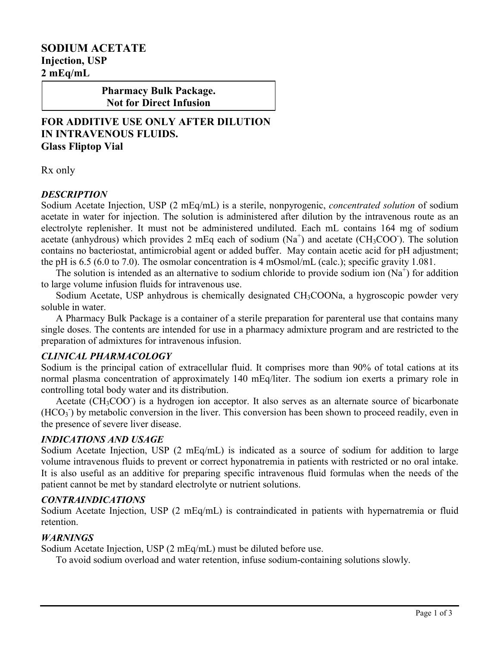# **SODIUM ACETATE Injection, USP 2 mEq/mL**

**Pharmacy Bulk Package. Not for Direct Infusion**

**FOR ADDITIVE USE ONLY AFTER DILUTION IN INTRAVENOUS FLUIDS. Glass Fliptop Vial**

Rx only

## *DESCRIPTION*

Sodium Acetate Injection, USP (2 mEq/mL) is a sterile, nonpyrogenic, *concentrated solution* of sodium acetate in water for injection. The solution is administered after dilution by the intravenous route as an electrolyte replenisher. It must not be administered undiluted. Each mL contains 164 mg of sodium acetate (anhydrous) which provides 2 mEq each of sodium  $(Na^+)$  and acetate (CH<sub>3</sub>COO). The solution contains no bacteriostat, antimicrobial agent or added buffer. May contain acetic acid for pH adjustment; the pH is 6.5 (6.0 to 7.0). The osmolar concentration is 4 mOsmol/mL (calc.); specific gravity 1.081.

The solution is intended as an alternative to sodium chloride to provide sodium ion  $(Na^+)$  for addition to large volume infusion fluids for intravenous use.

Sodium Acetate, USP anhydrous is chemically designated CH<sub>3</sub>COONa, a hygroscopic powder very soluble in water.

A Pharmacy Bulk Package is a container of a sterile preparation for parenteral use that contains many single doses. The contents are intended for use in a pharmacy admixture program and are restricted to the preparation of admixtures for intravenous infusion.

#### *CLINICAL PHARMACOLOGY*

Sodium is the principal cation of extracellular fluid. It comprises more than 90% of total cations at its normal plasma concentration of approximately 140 mEq/liter. The sodium ion exerts a primary role in controlling total body water and its distribution.

Acetate (CH<sub>3</sub>COO<sup>-</sup>) is a hydrogen ion acceptor. It also serves as an alternate source of bicarbonate (HCO<sub>3</sub>) by metabolic conversion in the liver. This conversion has been shown to proceed readily, even in the presence of severe liver disease.

#### *INDICATIONS AND USAGE*

Sodium Acetate Injection, USP (2 mEq/mL) is indicated as a source of sodium for addition to large volume intravenous fluids to prevent or correct hyponatremia in patients with restricted or no oral intake. It is also useful as an additive for preparing specific intravenous fluid formulas when the needs of the patient cannot be met by standard electrolyte or nutrient solutions.

## *CONTRAINDICATIONS*

Sodium Acetate Injection, USP (2 mEq/mL) is contraindicated in patients with hypernatremia or fluid retention.

## *WARNINGS*

Sodium Acetate Injection, USP (2 mEq/mL) must be diluted before use.

To avoid sodium overload and water retention, infuse sodium-containing solutions slowly.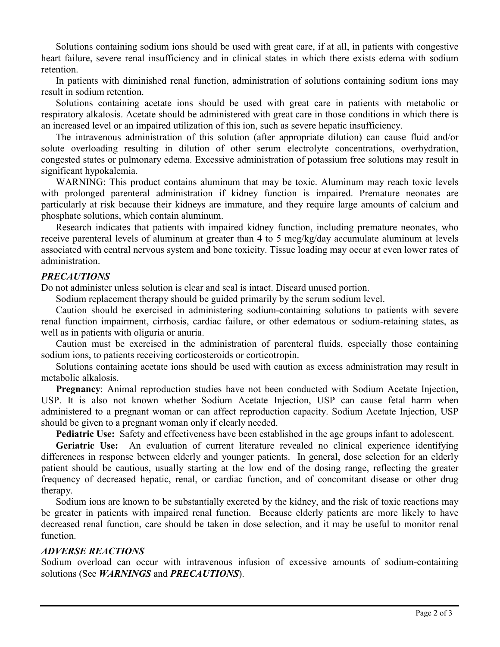Solutions containing sodium ions should be used with great care, if at all, in patients with congestive heart failure, severe renal insufficiency and in clinical states in which there exists edema with sodium retention.

In patients with diminished renal function, administration of solutions containing sodium ions may result in sodium retention.

Solutions containing acetate ions should be used with great care in patients with metabolic or respiratory alkalosis. Acetate should be administered with great care in those conditions in which there is an increased level or an impaired utilization of this ion, such as severe hepatic insufficiency.

The intravenous administration of this solution (after appropriate dilution) can cause fluid and/or solute overloading resulting in dilution of other serum electrolyte concentrations, overhydration, congested states or pulmonary edema. Excessive administration of potassium free solutions may result in significant hypokalemia.

WARNING: This product contains aluminum that may be toxic. Aluminum may reach toxic levels with prolonged parenteral administration if kidney function is impaired. Premature neonates are particularly at risk because their kidneys are immature, and they require large amounts of calcium and phosphate solutions, which contain aluminum.

Research indicates that patients with impaired kidney function, including premature neonates, who receive parenteral levels of aluminum at greater than 4 to 5 mcg/kg/day accumulate aluminum at levels associated with central nervous system and bone toxicity. Tissue loading may occur at even lower rates of administration.

## *PRECAUTIONS*

Do not administer unless solution is clear and seal is intact. Discard unused portion.

Sodium replacement therapy should be guided primarily by the serum sodium level.

Caution should be exercised in administering sodium-containing solutions to patients with severe renal function impairment, cirrhosis, cardiac failure, or other edematous or sodium-retaining states, as well as in patients with oliguria or anuria.

Caution must be exercised in the administration of parenteral fluids, especially those containing sodium ions, to patients receiving corticosteroids or corticotropin.

Solutions containing acetate ions should be used with caution as excess administration may result in metabolic alkalosis.

**Pregnancy**: Animal reproduction studies have not been conducted with Sodium Acetate Injection, USP. It is also not known whether Sodium Acetate Injection, USP can cause fetal harm when administered to a pregnant woman or can affect reproduction capacity. Sodium Acetate Injection, USP should be given to a pregnant woman only if clearly needed.

**Pediatric Use:** Safety and effectiveness have been established in the age groups infant to adolescent.

**Geriatric Use:** An evaluation of current literature revealed no clinical experience identifying differences in response between elderly and younger patients. In general, dose selection for an elderly patient should be cautious, usually starting at the low end of the dosing range, reflecting the greater frequency of decreased hepatic, renal, or cardiac function, and of concomitant disease or other drug therapy.

Sodium ions are known to be substantially excreted by the kidney, and the risk of toxic reactions may be greater in patients with impaired renal function. Because elderly patients are more likely to have decreased renal function, care should be taken in dose selection, and it may be useful to monitor renal function.

## *ADVERSE REACTIONS*

Sodium overload can occur with intravenous infusion of excessive amounts of sodium-containing solutions (See *WARNINGS* and *PRECAUTIONS*).